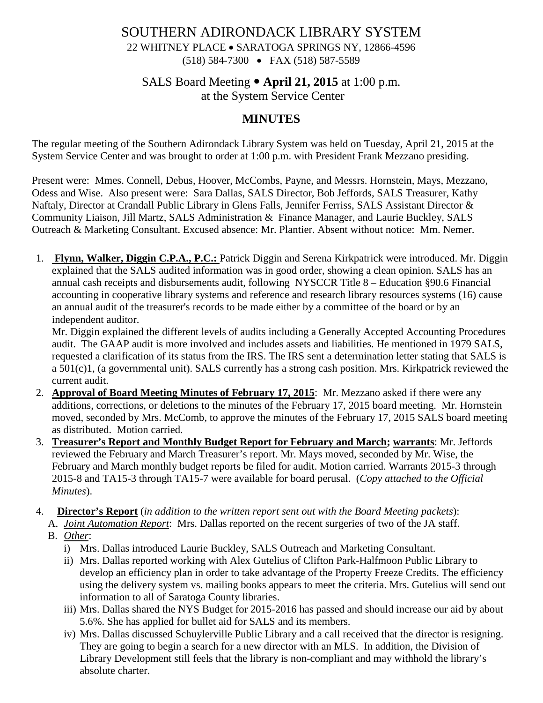# SOUTHERN ADIRONDACK LIBRARY SYSTEM

# 22 WHITNEY PLACE • SARATOGA SPRINGS NY, 12866-4596

(518) 584-7300 • FAX (518) 587-5589

### SALS Board Meeting **April 21, 2015** at 1:00 p.m.

at the System Service Center

## **MINUTES**

The regular meeting of the Southern Adirondack Library System was held on Tuesday, April 21, 2015 at the System Service Center and was brought to order at 1:00 p.m. with President Frank Mezzano presiding.

Present were: Mmes. Connell, Debus, Hoover, McCombs, Payne, and Messrs. Hornstein, Mays, Mezzano, Odess and Wise. Also present were: Sara Dallas, SALS Director, Bob Jeffords, SALS Treasurer, Kathy Naftaly, Director at Crandall Public Library in Glens Falls, Jennifer Ferriss, SALS Assistant Director & Community Liaison, Jill Martz, SALS Administration & Finance Manager, and Laurie Buckley, SALS Outreach & Marketing Consultant. Excused absence: Mr. Plantier. Absent without notice: Mm. Nemer.

1. **Flynn, Walker, Diggin C.P.A., P.C.:** Patrick Diggin and Serena Kirkpatrick were introduced. Mr. Diggin explained that the SALS audited information was in good order, showing a clean opinion. SALS has an annual cash receipts and disbursements audit, following NYSCCR Title 8 – Education §90.6 Financial accounting in cooperative library systems and reference and research library resources systems (16) cause an annual audit of the treasurer's records to be made either by a committee of the board or by an independent auditor.

Mr. Diggin explained the different levels of audits including a Generally Accepted Accounting Procedures audit. The GAAP audit is more involved and includes assets and liabilities. He mentioned in 1979 SALS, requested a clarification of its status from the IRS. The IRS sent a determination letter stating that SALS is a 501(c)1, (a governmental unit). SALS currently has a strong cash position. Mrs. Kirkpatrick reviewed the current audit.

- 2. **Approval of Board Meeting Minutes of February 17, 2015**: Mr. Mezzano asked if there were any additions, corrections, or deletions to the minutes of the February 17, 2015 board meeting. Mr. Hornstein moved, seconded by Mrs. McComb, to approve the minutes of the February 17, 2015 SALS board meeting as distributed. Motion carried.
- 3. **Treasurer's Report and Monthly Budget Report for February and March; warrants**: Mr. Jeffords reviewed the February and March Treasurer's report. Mr. Mays moved, seconded by Mr. Wise, the February and March monthly budget reports be filed for audit. Motion carried. Warrants 2015-3 through 2015-8 and TA15-3 through TA15-7 were available for board perusal. (*Copy attached to the Official Minutes*).

4. **Director's Report** (*in addition to the written report sent out with the Board Meeting packets*):

- A. *Joint Automation Report*: Mrs. Dallas reported on the recent surgeries of two of the JA staff.
	- B. *Other*:
		- i) Mrs. Dallas introduced Laurie Buckley, SALS Outreach and Marketing Consultant.
		- ii) Mrs. Dallas reported working with Alex Gutelius of Clifton Park-Halfmoon Public Library to develop an efficiency plan in order to take advantage of the Property Freeze Credits. The efficiency using the delivery system vs. mailing books appears to meet the criteria. Mrs. Gutelius will send out information to all of Saratoga County libraries.
		- iii) Mrs. Dallas shared the NYS Budget for 2015-2016 has passed and should increase our aid by about 5.6%. She has applied for bullet aid for SALS and its members.
		- iv) Mrs. Dallas discussed Schuylerville Public Library and a call received that the director is resigning. They are going to begin a search for a new director with an MLS. In addition, the Division of Library Development still feels that the library is non-compliant and may withhold the library's absolute charter.